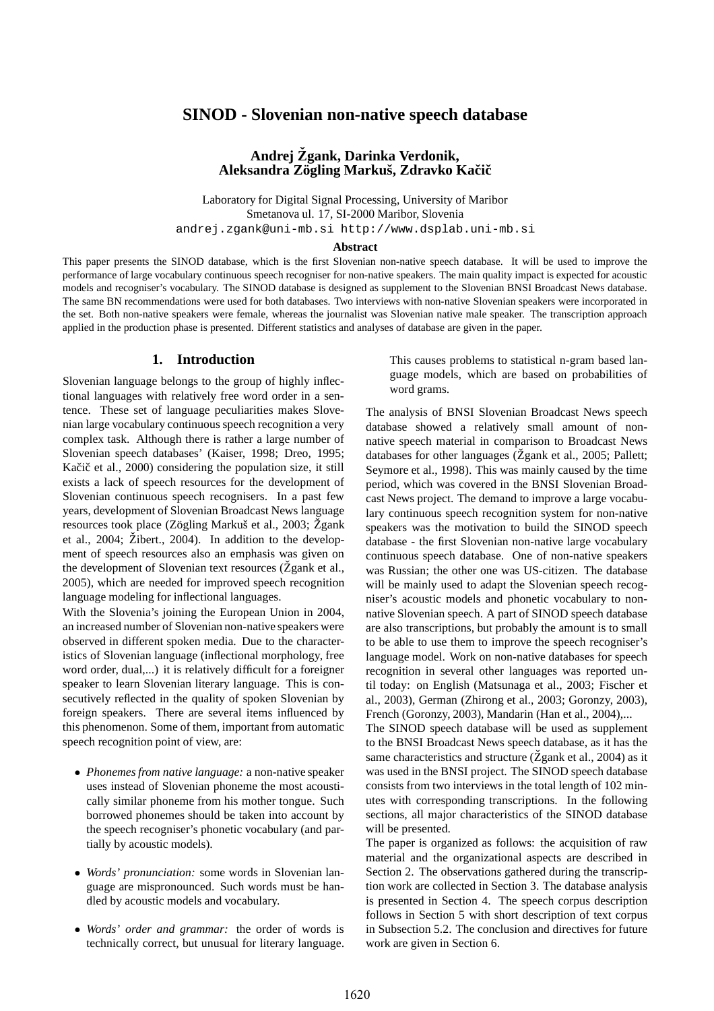# **SINOD - Slovenian non-native speech database**

# **Andrej Zgank, ˇ Darinka Verdonik, Aleksandra Zogling ¨ Markus,ˇ Zdravko Kaciˇ cˇ**

Laboratory for Digital Signal Processing, University of Maribor Smetanova ul. 17, SI-2000 Maribor, Slovenia andrej.zgank@uni-mb.si http://www.dsplab.uni-mb.si

#### **Abstract**

This paper presents the SINOD database, which is the first Slovenian non-native speech database. It will be used to improve the performance of large vocabulary continuous speech recogniser for non-native speakers. The main quality impact is expected for acoustic models and recogniser's vocabulary. The SINOD database is designed as supplement to the Slovenian BNSI Broadcast News database. The same BN recommendations were used for both databases. Two interviews with non-native Slovenian speakers were incorporated in the set. Both non-native speakers were female, whereas the journalist was Slovenian native male speaker. The transcription approach applied in the production phase is presented. Different statistics and analyses of database are given in the paper.

### **1. Introduction**

Slovenian language belongs to the group of highly inflectional languages with relatively free word order in a sentence. These set of language peculiarities makes Slovenian large vocabulary continuous speech recognition a very complex task. Although there is rather a large number of Slovenian speech databases' (Kaiser, 1998; Dreo, 1995; Kačič et al., 2000) considering the population size, it still exists a lack of speech resources for the development of Slovenian continuous speech recognisers. In a past few years, development of Slovenian Broadcast News language resources took place (Zögling Markuš et al., 2003; Žgank et al.,  $2004$ ;  $\ddot{Z}$ ibert.,  $2004$ ). In addition to the development of speech resources also an emphasis was given on the development of Slovenian text resources ( $\zeta$  gank et al., 2005), which are needed for improved speech recognition language modeling for inflectional languages.

With the Slovenia's joining the European Union in 2004, an increased number of Slovenian non-native speakers were observed in different spoken media. Due to the characteristics of Slovenian language (inflectional morphology, free word order, dual,...) it is relatively difficult for a foreigner speaker to learn Slovenian literary language. This is consecutively reflected in the quality of spoken Slovenian by foreign speakers. There are several items influenced by this phenomenon. Some of them, important from automatic speech recognition point of view, are:

- *Phonemes from native language:* a non-native speaker uses instead of Slovenian phoneme the most acoustically similar phoneme from his mother tongue. Such borrowed phonemes should be taken into account by the speech recogniser's phonetic vocabulary (and partially by acoustic models).
- *Words' pronunciation:* some words in Slovenian language are mispronounced. Such words must be handled by acoustic models and vocabulary.
- *Words' order and grammar:* the order of words is technically correct, but unusual for literary language.

This causes problems to statistical n-gram based language models, which are based on probabilities of word grams.

The analysis of BNSI Slovenian Broadcast News speech database showed a relatively small amount of nonnative speech material in comparison to Broadcast News databases for other languages ( $\check{Z}$ gank et al., 2005; Pallett; Seymore et al., 1998). This was mainly caused by the time period, which was covered in the BNSI Slovenian Broadcast News project. The demand to improve a large vocabulary continuous speech recognition system for non-native speakers was the motivation to build the SINOD speech database - the first Slovenian non-native large vocabulary continuous speech database. One of non-native speakers was Russian; the other one was US-citizen. The database will be mainly used to adapt the Slovenian speech recogniser's acoustic models and phonetic vocabulary to nonnative Slovenian speech. A part of SINOD speech database are also transcriptions, but probably the amount is to small to be able to use them to improve the speech recogniser's language model. Work on non-native databases for speech recognition in several other languages was reported until today: on English (Matsunaga et al., 2003; Fischer et al., 2003), German (Zhirong et al., 2003; Goronzy, 2003), French (Goronzy, 2003), Mandarin (Han et al., 2004),...

The SINOD speech database will be used as supplement to the BNSI Broadcast News speech database, as it has the same characteristics and structure ( $\zeta$  gank et al., 2004) as it was used in the BNSI project. The SINOD speech database consists from two interviews in the total length of 102 minutes with corresponding transcriptions. In the following sections, all major characteristics of the SINOD database will be presented.

The paper is organized as follows: the acquisition of raw material and the organizational aspects are described in Section 2. The observations gathered during the transcription work are collected in Section 3. The database analysis is presented in Section 4. The speech corpus description follows in Section 5 with short description of text corpus in Subsection 5.2. The conclusion and directives for future work are given in Section 6.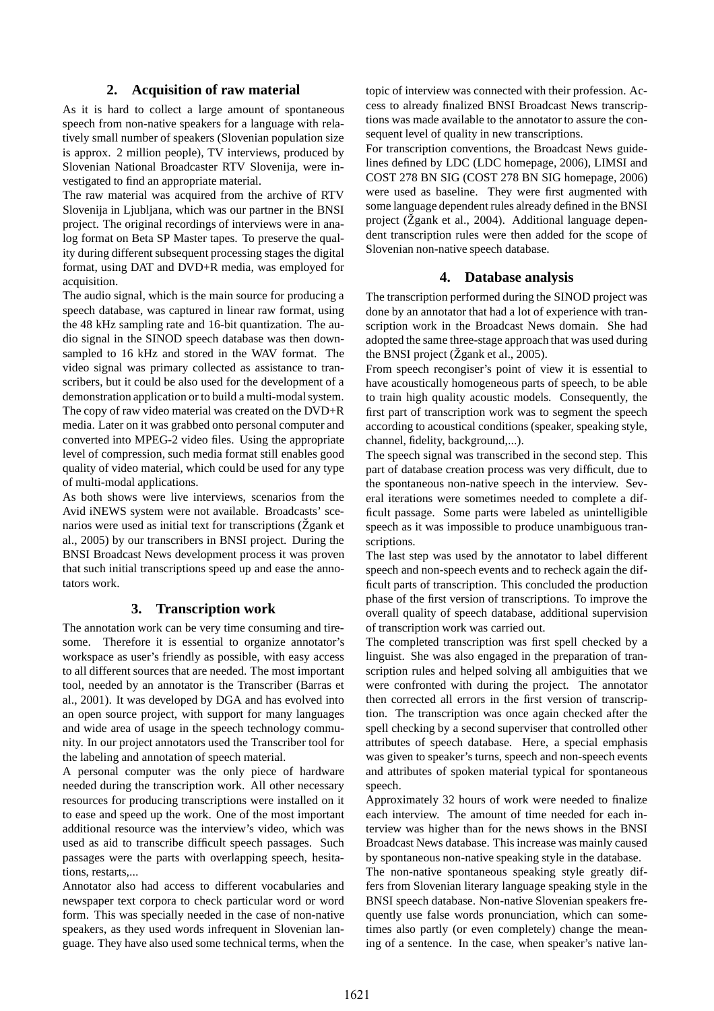# **2. Acquisition of raw material**

As it is hard to collect a large amount of spontaneous speech from non-native speakers for a language with relatively small number of speakers (Slovenian population size is approx. 2 million people), TV interviews, produced by Slovenian National Broadcaster RTV Slovenija, were investigated to find an appropriate material.

The raw material was acquired from the archive of RTV Slovenija in Ljubljana, which was our partner in the BNSI project. The original recordings of interviews were in analog format on Beta SP Master tapes. To preserve the quality during different subsequent processing stages the digital format, using DAT and DVD+R media, was employed for acquisition.

The audio signal, which is the main source for producing a speech database, was captured in linear raw format, using the 48 kHz sampling rate and 16-bit quantization. The audio signal in the SINOD speech database was then downsampled to 16 kHz and stored in the WAV format. The video signal was primary collected as assistance to transcribers, but it could be also used for the development of a demonstration application or to build a multi-modal system. The copy of raw video material was created on the DVD+R media. Later on it was grabbed onto personal computer and converted into MPEG-2 video files. Using the appropriate level of compression, such media format still enables good quality of video material, which could be used for any type of multi-modal applications.

As both shows were live interviews, scenarios from the Avid iNEWS system were not available. Broadcasts' scenarios were used as initial text for transcriptions ( $\check{Z}$ gank et al., 2005) by our transcribers in BNSI project. During the BNSI Broadcast News development process it was proven that such initial transcriptions speed up and ease the annotators work.

# **3. Transcription work**

The annotation work can be very time consuming and tiresome. Therefore it is essential to organize annotator's workspace as user's friendly as possible, with easy access to all different sources that are needed. The most important tool, needed by an annotator is the Transcriber (Barras et al., 2001). It was developed by DGA and has evolved into an open source project, with support for many languages and wide area of usage in the speech technology community. In our project annotators used the Transcriber tool for the labeling and annotation of speech material.

A personal computer was the only piece of hardware needed during the transcription work. All other necessary resources for producing transcriptions were installed on it to ease and speed up the work. One of the most important additional resource was the interview's video, which was used as aid to transcribe difficult speech passages. Such passages were the parts with overlapping speech, hesitations, restarts,...

Annotator also had access to different vocabularies and newspaper text corpora to check particular word or word form. This was specially needed in the case of non-native speakers, as they used words infrequent in Slovenian language. They have also used some technical terms, when the

topic of interview was connected with their profession. Access to already finalized BNSI Broadcast News transcriptions was made available to the annotator to assure the consequent level of quality in new transcriptions.

For transcription conventions, the Broadcast News guidelines defined by LDC (LDC homepage, 2006), LIMSI and COST 278 BN SIG (COST 278 BN SIG homepage, 2006) were used as baseline. They were first augmented with some language dependent rules already defined in the BNSI project ( $\check{Z}$ gank et al., 2004). Additional language dependent transcription rules were then added for the scope of Slovenian non-native speech database.

## **4. Database analysis**

The transcription performed during the SINOD project was done by an annotator that had a lot of experience with transcription work in the Broadcast News domain. She had adopted the same three-stage approach that was used during the BNSI project ( $\check{Z}$ gank et al., 2005).

From speech recongiser's point of view it is essential to have acoustically homogeneous parts of speech, to be able to train high quality acoustic models. Consequently, the first part of transcription work was to segment the speech according to acoustical conditions (speaker, speaking style, channel, fidelity, background,...).

The speech signal was transcribed in the second step. This part of database creation process was very difficult, due to the spontaneous non-native speech in the interview. Several iterations were sometimes needed to complete a difficult passage. Some parts were labeled as unintelligible speech as it was impossible to produce unambiguous transcriptions.

The last step was used by the annotator to label different speech and non-speech events and to recheck again the difficult parts of transcription. This concluded the production phase of the first version of transcriptions. To improve the overall quality of speech database, additional supervision of transcription work was carried out.

The completed transcription was first spell checked by a linguist. She was also engaged in the preparation of transcription rules and helped solving all ambiguities that we were confronted with during the project. The annotator then corrected all errors in the first version of transcription. The transcription was once again checked after the spell checking by a second superviser that controlled other attributes of speech database. Here, a special emphasis was given to speaker's turns, speech and non-speech events and attributes of spoken material typical for spontaneous speech.

Approximately 32 hours of work were needed to finalize each interview. The amount of time needed for each interview was higher than for the news shows in the BNSI Broadcast News database. This increase was mainly caused by spontaneous non-native speaking style in the database.

The non-native spontaneous speaking style greatly differs from Slovenian literary language speaking style in the BNSI speech database. Non-native Slovenian speakers frequently use false words pronunciation, which can sometimes also partly (or even completely) change the meaning of a sentence. In the case, when speaker's native lan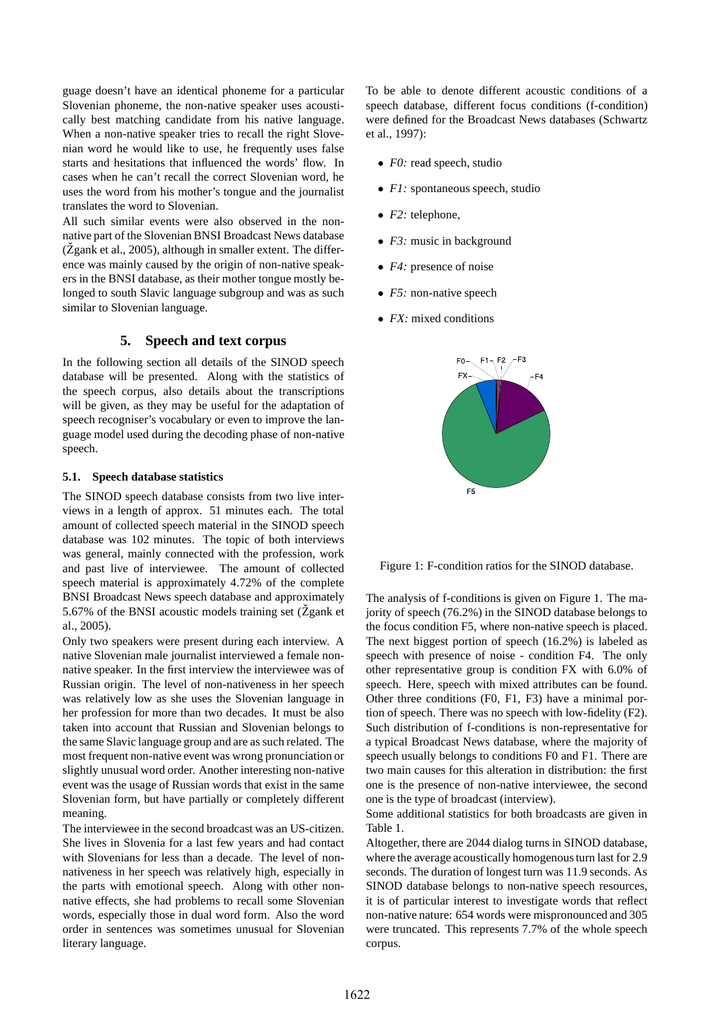guage doesn't have an identical phoneme for a particular Slovenian phoneme, the non-native speaker uses acoustically best matching candidate from his native language. When a non-native speaker tries to recall the right Slovenian word he would like to use, he frequently uses false starts and hesitations that influenced the words' flow. In cases when he can't recall the correct Slovenian word, he uses the word from his mother's tongue and the journalist translates the word to Slovenian.

All such similar events were also observed in the nonnative part of the Slovenian BNSI Broadcast News database  $(Zgank et al., 2005)$ , although in smaller extent. The difference was mainly caused by the origin of non-native speakers in the BNSI database, as their mother tongue mostly belonged to south Slavic language subgroup and was as such similar to Slovenian language.

## **5. Speech and text corpus**

In the following section all details of the SINOD speech database will be presented. Along with the statistics of the speech corpus, also details about the transcriptions will be given, as they may be useful for the adaptation of speech recogniser's vocabulary or even to improve the language model used during the decoding phase of non-native speech.

### **5.1. Speech database statistics**

The SINOD speech database consists from two live interviews in a length of approx. 51 minutes each. The total amount of collected speech material in the SINOD speech database was 102 minutes. The topic of both interviews was general, mainly connected with the profession, work and past live of interviewee. The amount of collected speech material is approximately 4.72% of the complete BNSI Broadcast News speech database and approximately 5.67% of the BNSI acoustic models training set  $(\check{Z}$ gank et al., 2005).

Only two speakers were present during each interview. A native Slovenian male journalist interviewed a female nonnative speaker. In the first interview the interviewee was of Russian origin. The level of non-nativeness in her speech was relatively low as she uses the Slovenian language in her profession for more than two decades. It must be also taken into account that Russian and Slovenian belongs to the same Slavic language group and are as such related. The most frequent non-native event was wrong pronunciation or slightly unusual word order. Another interesting non-native event was the usage of Russian words that exist in the same Slovenian form, but have partially or completely different meaning.

The interviewee in the second broadcast was an US-citizen. She lives in Slovenia for a last few years and had contact with Slovenians for less than a decade. The level of nonnativeness in her speech was relatively high, especially in the parts with emotional speech. Along with other nonnative effects, she had problems to recall some Slovenian words, especially those in dual word form. Also the word order in sentences was sometimes unusual for Slovenian literary language.

To be able to denote different acoustic conditions of a speech database, different focus conditions (f-condition) were defined for the Broadcast News databases (Schwartz et al., 1997):

- *F0*: read speech, studio
- *F1*: spontaneous speech, studio
- *F2:* telephone,
- *F3*: music in background
- *F4:* presence of noise
- *F5*: non-native speech
- *FX:* mixed conditions



Figure 1: F-condition ratios for the SINOD database.

The analysis of f-conditions is given on Figure 1. The majority of speech (76.2%) in the SINOD database belongs to the focus condition F5, where non-native speech is placed. The next biggest portion of speech (16.2%) is labeled as speech with presence of noise - condition F4. The only other representative group is condition FX with 6.0% of speech. Here, speech with mixed attributes can be found. Other three conditions (F0, F1, F3) have a minimal portion of speech. There was no speech with low-fidelity (F2). Such distribution of f-conditions is non-representative for a typical Broadcast News database, where the majority of speech usually belongs to conditions F0 and F1. There are two main causes for this alteration in distribution: the first one is the presence of non-native interviewee, the second one is the type of broadcast (interview).

Some additional statistics for both broadcasts are given in Table 1.

Altogether, there are 2044 dialog turns in SINOD database, where the average acoustically homogenousturn last for 2.9 seconds. The duration of longest turn was 11.9 seconds. As SINOD database belongs to non-native speech resources, it is of particular interest to investigate words that reflect non-native nature: 654 words were mispronounced and 305 were truncated. This represents 7.7% of the whole speech corpus.